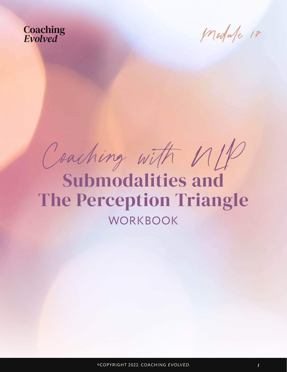Module 17

Coaching with NLP

Submodalities and The Perception Triangle **WORKBOOK**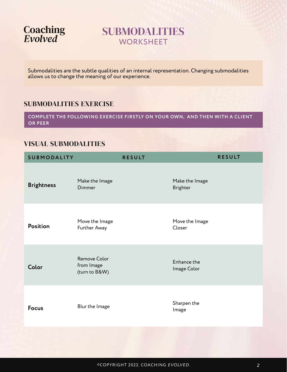

### SUBMODALITIES **WORKSHEET**

Submodalities are the subtle qualities of an internal representation. Changing submodalities allows us to change the meaning of our experience.

### SUBMODALITIES EXERCISE

**COMPLETE THE FOLLOWING EXERCISE FIRSTLY ON YOUR OWN, AND THEN WITH A CLIENT OR PEER**

### VISUAL SUBMODALITIES

| <b>SUBMODALITY</b> |                                             | <b>RESULT</b> |                                   | <b>RESULT</b> |
|--------------------|---------------------------------------------|---------------|-----------------------------------|---------------|
| <b>Brightness</b>  | Make the Image<br><b>Dimmer</b>             |               | Make the Image<br><b>Brighter</b> |               |
| Position           | Move the Image<br>Further Away              |               | Move the Image<br>Closer          |               |
| Color              | Remove Color<br>from Image<br>(turn to B&W) |               | Enhance the<br>Image Color        |               |
| <b>Focus</b>       | Blur the Image                              |               | Sharpen the<br>Image              |               |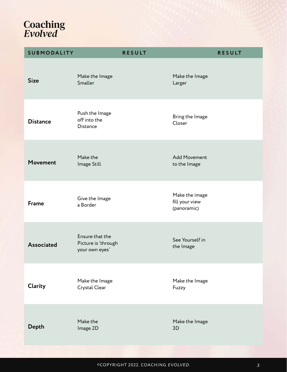| <b>SUBMODALITY</b> | <b>RESULT</b>                                            | <b>RESULT</b>                                   |
|--------------------|----------------------------------------------------------|-------------------------------------------------|
| <b>Size</b>        | Make the Image<br>Smaller                                | Make the Image<br>Larger                        |
| <b>Distance</b>    | Push the Image<br>off into the<br>Distance               | Bring the Image<br>Closer                       |
| <b>Movement</b>    | Make the<br>Image Still                                  | <b>Add Movement</b><br>to the Image             |
| <b>Frame</b>       | Give the Image<br>a Border                               | Make the image<br>fill your view<br>(panoramic) |
| <b>Associated</b>  | Ensure that the<br>Picture is 'through<br>your own eyes' | See Yourself in<br>the Image                    |
| Clarity            | Make the Image<br>Crystal Clear                          | Make the Image<br>Fuzzy                         |
| Depth              | Make the<br>Image 2D                                     | Make the Image<br>3D                            |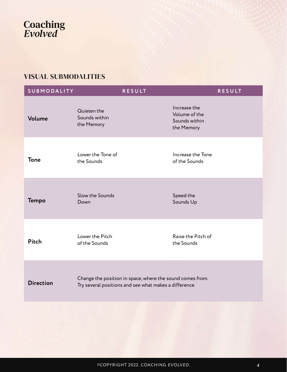### VISUAL SUBMODALITIES

| <b>SUBMODALITY</b> | <b>RESULT</b>                                                                                                      | <b>RESULT</b>                                                |  |
|--------------------|--------------------------------------------------------------------------------------------------------------------|--------------------------------------------------------------|--|
| Volume             | Quieten the<br>Sounds within<br>the Memory                                                                         | Increase the<br>Volume of the<br>Sounds within<br>the Memory |  |
| <b>Tone</b>        | Lower the Tone of<br>the Sounds                                                                                    | Increase the Tone<br>of the Sounds                           |  |
| <b>Tempo</b>       | Slow the Sounds<br>Down                                                                                            | Speed the<br>Sounds Up                                       |  |
| <b>Pitch</b>       | Lower the Pitch<br>of the Sounds                                                                                   | Raise the Pitch of<br>the Sounds                             |  |
| <b>Direction</b>   | Change the position in space, where the sound comes from.<br>Try several positions and see what makes a difference |                                                              |  |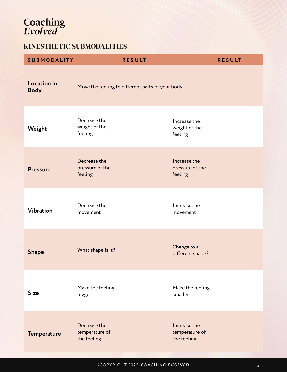### KINESTHETIC SUBMODALITIES

| <b>SUBMODALITY</b>         | <b>RESULT</b>                                    | <b>RESULT</b>                                 |  |
|----------------------------|--------------------------------------------------|-----------------------------------------------|--|
| Location in<br><b>Body</b> | Move the feeling to different parts of your body |                                               |  |
| Weight                     | Decrease the<br>weight of the<br>feeling         | Increase the<br>weight of the<br>feeling      |  |
| <b>Pressure</b>            | Decrease the<br>pressure of the<br>feeling       | Increase the<br>pressure of the<br>feeling    |  |
| <b>Vibration</b>           | Decrease the<br>movement                         | Increase the<br>movement                      |  |
| <b>Shape</b>               | What shape is it?                                | Change to a<br>different shape?               |  |
| <b>Size</b>                | Make the feeling<br>bigger                       | Make the feeling<br>smaller                   |  |
| <b>Temperature</b>         | Decrease the<br>temperature of<br>the feeling    | Increase the<br>temperature of<br>the feeling |  |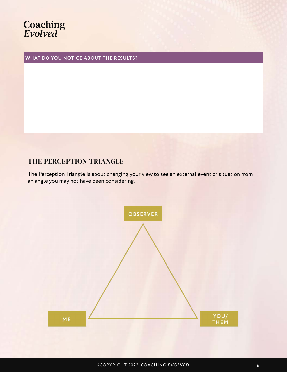**WHAT DO YOU NOTICE ABOUT THE RESULTS?**

### THE PERCEPTION TRIANGLE

The Perception Triangle is about changing your view to see an external event or situation from an angle you may not have been considering.

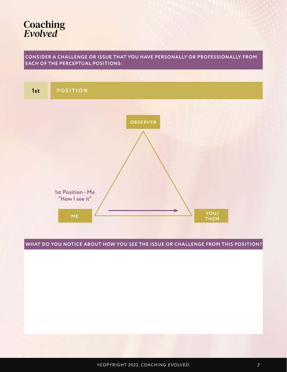#### **CONSIDER A CHALLENGE OR ISSUE THAT YOU HAVE PERSONALLY OR PROFESSIONALLY FROM EACH OF THE PERCEPTUAL POSITIONS:**

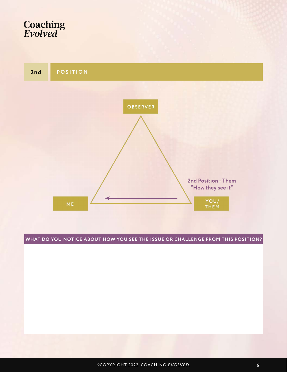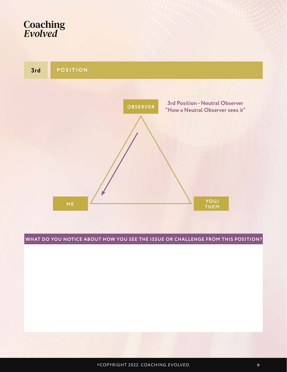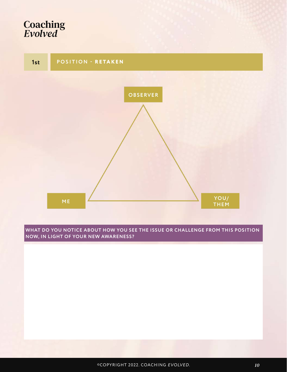

**WHAT DO YOU NOTICE ABOUT HOW YOU SEE THE ISSUE OR CHALLENGE FROM THIS POSITION NOW, IN LIGHT OF YOUR NEW AWARENESS?**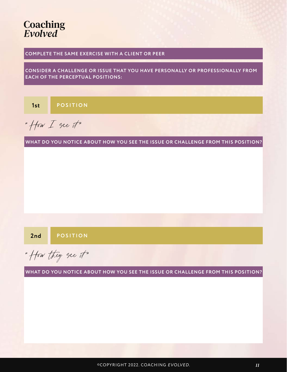#### **COMPLETE THE SAME EXERCISE WITH A CLIENT OR PEER**

**CONSIDER A CHALLENGE OR ISSUE THAT YOU HAVE PERSONALLY OR PROFESSIONALLY FROM EACH OF THE PERCEPTUAL POSITIONS:**

**1st POSITION**

" How  $I$  see it"

**WHAT DO YOU NOTICE ABOUT HOW YOU SEE THE ISSUE OR CHALLENGE FROM THIS POSITION?**

**2nd POSITION**

" How they see it"